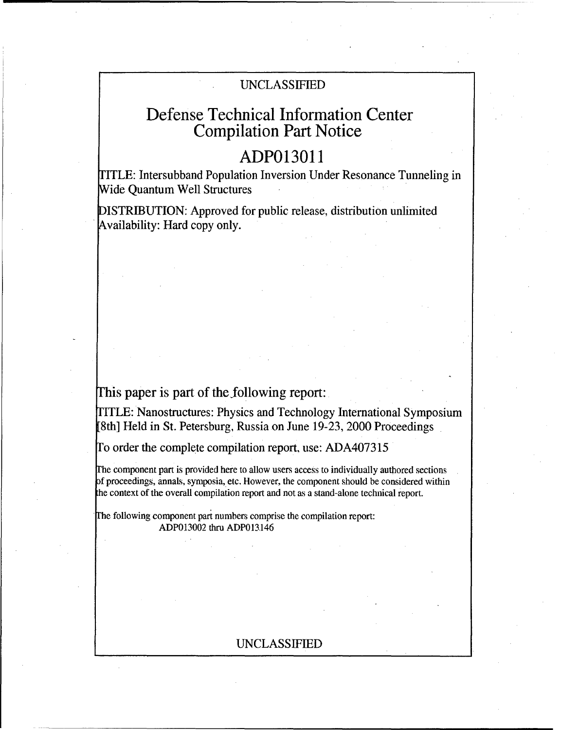# UNCLASSIFIED

# Defense Technical Information Center Compilation Part Notice

# **ADP013011**

TITLE: Intersubband Population Inversion Under Resonance Tunneling in Wide Quantum Well Structures

DISTRIBUTION: Approved for public release, distribution unlimited Availability: Hard copy only.

This paper is part of the following report:

TITLE: Nanostructures: Physics and Technology International Symposium [8th] Held in St. Petersburg, Russia on June 19-23, 2000 Proceedings

Io order the complete compilation report, use: ADA407315

rhe component part is provided here to allow users access to individually authored sections f proceedings, annals, symposia, etc. However, the component should be considered within the context of the overall compilation report and not as a stand-alone technical report.

The following component part numbers comprise the compilation report: ADPO13002 thru ADP013.146

# UNCLASSIFIED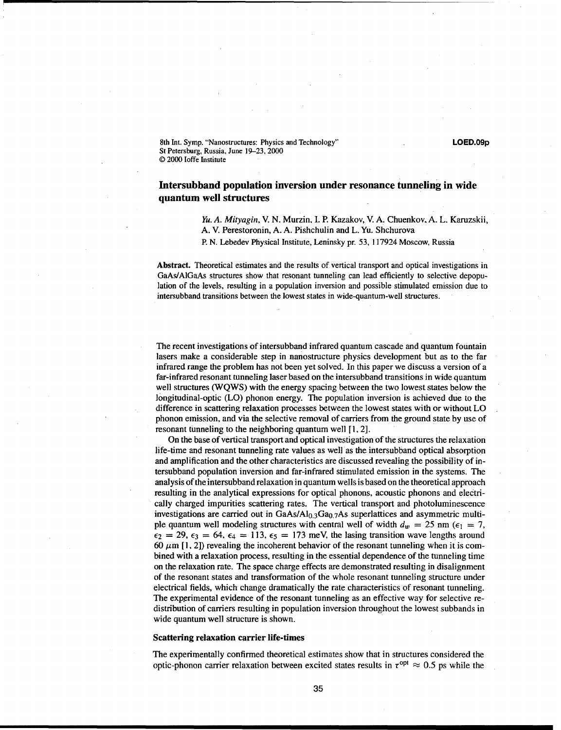8th Int. Symp. "Nanostructures: Physics and Technology" **LOED.09p** St Petersburg, Russia, June 19-23, 2000 © 2000 loffe Institute

# Intersubband population inversion under resonance tunneling in wide quantum well structures

*Yu. A. Mityagin,* V. N. Murzin, **1.** P. Kazakov, V. A. Chuenkov, A. L. Karuzskii, A. V. Perestoronin, A. A. Pishchulin and L. Yu. Shchurova

P. N. Lebedev Physical Institute, Leninsky pr. 53, 117924 Moscow, Russia

Abstract. Theoretical estimates and the results of vertical transport and optical investigations in GaAs/AIGaAs structures show that resonant tunneling can lead efficiently to selective depopulation of the levels, resulting in a population inversion and possible stimulated emission due to intersubband transitions between the lowest states in wide-quantum-well structures.

The recent investigations of intersubband infrared quantum cascade and quantum fountain lasers make a considerable step in nanostructure physics development but as to the far infrared range the problem has not been yet solved. In this paper we discuss a version of a far-infrared resonant tunneling laser based on the intersubband transitions in wide quantum well structures (WQWS) with the energy spacing between the two lowest states below the longitudinal-optic (LO) phonon energy. The population inversion is achieved due to the difference in scattering relaxation processes between the lowest states with or without LO phonon emission, and via the selective removal of carriers from the ground state by use of resonant tunneling to the neighboring quantum well **[1,** 2].

On the base of vertical transport and optical investigation of the structures the relaxation life-time and resonant tunneling rate values as well as the. intersubband optical absorption and amplification and the other characteristics are discussed revealing the possibility of intersubband population inversion and far-infrared stimulated emission in the systems. The analysis of the intersubband relaxation in quantum wells is based on the theoretical approach resulting in the analytical expressions for optical phonons, acoustic phonons and electrically charged impurities scattering rates. The vertical transport and photoluminescence investigations are carried out in  $GaAs/Al<sub>0.3</sub>Ga<sub>0.7</sub>As superlattices and asymmetric multi$ ple quantum well modeling structures with central well of width  $d_w = 25$  nm  $(\epsilon_1 = 7,$  $\epsilon_2$  = 29,  $\epsilon_3$  = 64,  $\epsilon_4$  = 113,  $\epsilon_5$  = 173 meV, the lasing transition wave lengths around 60  $\mu$ m [1, 2]) revealing the incoherent behavior of the resonant tunneling when it is combined with a relaxation process, resulting in the essential dependence of the tunneling time on the relaxation rate. The space charge effects are demonstrated resulting in disalignment of the resonant states and transformation of the whole resonant tunneling structure under electrical fields, which change dramatically the rate characteristics of resonant tunneling. The experimental evidence of the resonant tunneling as an effective way for selective redistribution of carriers resulting in population inversion throughout the lowest subbands in wide quantum well structure is shown.

## Scattering relaxation carrier life-times

The experimentally confirmed theoretical estimates show that in structures considered the optic-phonon carrier relaxation between excited states results in  $\tau^{opt} \approx 0.5$  ps while the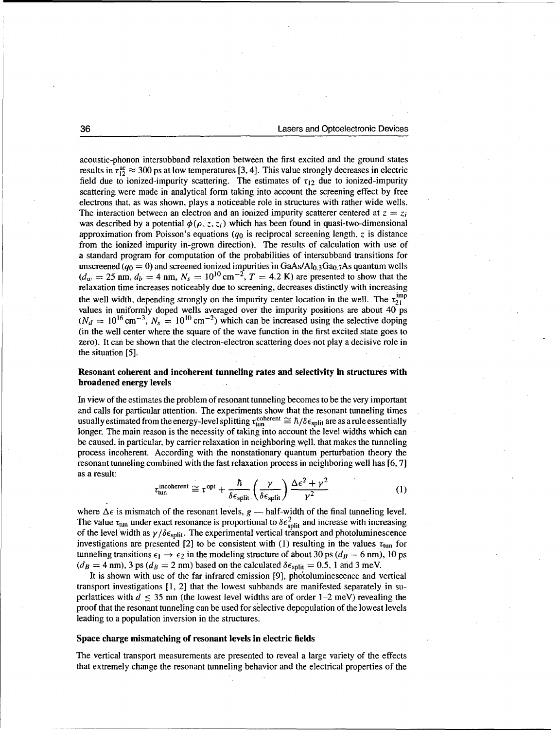acoustic-phonon intersubband relaxation between the first excited and the ground states results in  $\tau_{12}^{\text{ac}} \approx 300$  ps at low temperatures [3, 4]. This value strongly decreases in electric field due to ionized-impurity scattering. The estimates of  $\tau_{12}$  due to ionized-impurity scattering, were made in analytical form taking into account the screening effect by free electrons that, as was shown, plays a noticeable role in structures with rather wide wells. The interaction between an electron and an ionized impurity scatterer centered at  $z = z_i$ was described by a potential  $\phi(\rho, z, z_i)$  which has been found in quasi-two-dimensional approximation from Poisson's equations *(qo* is reciprocal screening length, z is distance from the ionized impurity in-grown direction). The results of calculation with use of a standard program for computation of the probabilities of intersubband transitions for unscreened ( $q_0 = 0$ ) and screened ionized impurities in GaAs/Al<sub>0.3</sub>Ga<sub>0.7</sub>As quantum wells  $(d_w = 25 \text{ nm}, d_b = 4 \text{ nm}, N_s = 10^{10} \text{ cm}^{-2}, T = 4.2 \text{ K})$  are presented to show that the relaxation time increases noticeably due to screening, decreases distinctly with increasing the well width, depending strongly on the impurity center location in the well. The  $\tau_{21}^{imp}$ values in uniformly doped wells averaged over the impurity positions are about  $40^\circ$  ps  $(N_d = 10^{16} \text{ cm}^{-3}$ ,  $N_s = 10^{10} \text{ cm}^{-2}$ ) which can be increased using the selective doping (in the well center where the square of the wave function in the first excited state goes to zero). It can be shown that the electron-electron scattering does not play a decisive role in the situation [5].

## Resonant coherent and incoherent tunneling rates and selectivity in structures with broadened energy levels

In view of the estimates the problem of resonant tunneling becomes to be the very important and calls for particular attention. The experiments show that the resonant tunneling times usually estimated from the energy-level splitting  $\tau_{\text{tun}}^{\text{coherent}} \cong \hbar/\delta \epsilon_{\text{split}}$  are as a rule essentially longer. The main reason is the necessity of taking into account the level widths which can be caused, in particular, by carrier relaxation in neighboring well. that makes the tunneling process incoherent. According with the nonstationary quantum perturbation theory the resonant tunneling combined with the fast relaxation process in neighboring well has [6, 7] as a result:

$$
\tau_{\text{tun}}^{\text{incoherent}} \cong \tau^{\text{opt}} + \frac{\hbar}{\delta \epsilon_{\text{split}}} \left( \frac{\gamma}{\delta \epsilon_{\text{split}}} \right) \frac{\Delta \epsilon^2 + \gamma^2}{\gamma^2} \tag{1}
$$

where  $\Delta \epsilon$  is mismatch of the resonant levels,  $g$  — half-width of the final tunneling level. The value  $\tau_{\text{tun}}$  under exact resonance is proportional to  $\delta \epsilon_{\text{split}}^2$  and increase with increasing of the level width as  $\gamma/\delta \epsilon_{split}$ . The experimental vertical transport and photoluminescence investigations are presented [2] to be consistent with (1) resulting in the values  $\tau_{\text{tun}}$  for tunneling transitions  $\epsilon_1 \rightarrow \epsilon_2$  in the modeling structure of about 30 ps ( $d_B = 6$  nm), 10 ps  $(d_B = 4 \text{ nm})$ , 3 ps  $(d_B = 2 \text{ nm})$  based on the calculated  $\delta \epsilon_{split} = 0.5$ , 1 and 3 meV.

It is shown with use of the far infrared emission [9], photoluminescence and vertical transport investigations [1, 2] that the lowest subbands are manifested separately in superlattices with  $d \leq 35$  nm (the lowest level widths are of order 1–2 meV) revealing the proof that the resonant tunneling can be used for selective depopulation of the lowest levels leading to a population inversion in the structures.

### Space charge mismatching of resonant levels in electric fields

The vertical transport measurements are presented **to** reveal a large variety of the effects that extremely change the resonant tunneling behavior and the electrical properties of the